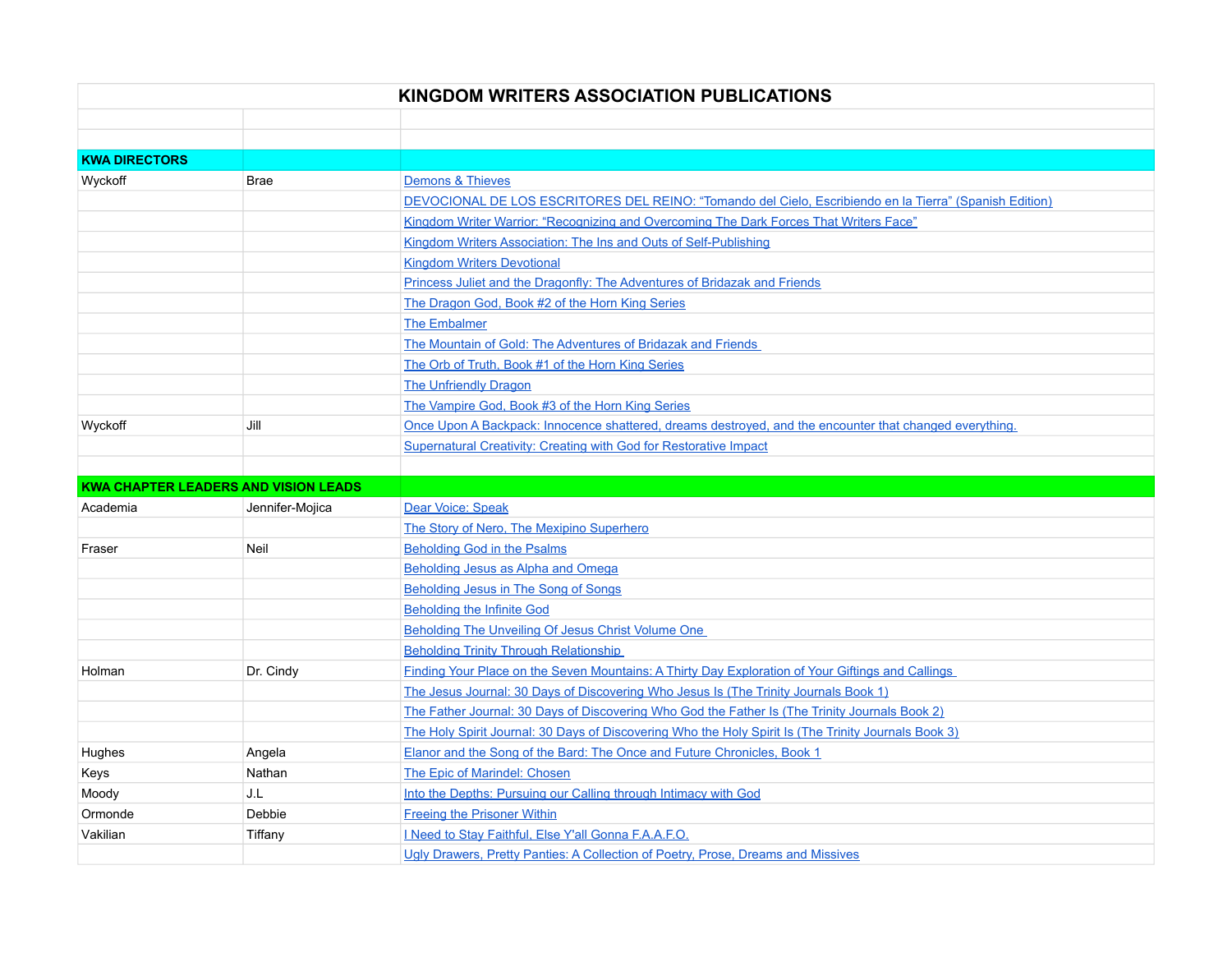| KINGDOM WRITERS ASSOCIATION PUBLICATIONS |                                             |                                                                                                         |  |  |
|------------------------------------------|---------------------------------------------|---------------------------------------------------------------------------------------------------------|--|--|
|                                          |                                             |                                                                                                         |  |  |
|                                          |                                             |                                                                                                         |  |  |
| <b>KWA DIRECTORS</b>                     |                                             |                                                                                                         |  |  |
| Wyckoff                                  | <b>Brae</b>                                 | Demons & Thieves                                                                                        |  |  |
|                                          |                                             | DEVOCIONAL DE LOS ESCRITORES DEL REINO: "Tomando del Cielo, Escribiendo en la Tierra" (Spanish Edition) |  |  |
|                                          |                                             | Kingdom Writer Warrior: "Recognizing and Overcoming The Dark Forces That Writers Face"                  |  |  |
|                                          |                                             | Kingdom Writers Association: The Ins and Outs of Self-Publishing                                        |  |  |
|                                          |                                             | <b>Kingdom Writers Devotional</b>                                                                       |  |  |
|                                          |                                             | Princess Juliet and the Dragonfly: The Adventures of Bridazak and Friends                               |  |  |
|                                          |                                             | The Dragon God, Book #2 of the Horn King Series                                                         |  |  |
|                                          |                                             | <b>The Embalmer</b>                                                                                     |  |  |
|                                          |                                             | The Mountain of Gold: The Adventures of Bridazak and Friends                                            |  |  |
|                                          |                                             | The Orb of Truth, Book #1 of the Horn King Series                                                       |  |  |
|                                          |                                             | <b>The Unfriendly Dragon</b>                                                                            |  |  |
|                                          |                                             | The Vampire God, Book #3 of the Horn King Series                                                        |  |  |
| Wyckoff                                  | Jill                                        | Once Upon A Backpack: Innocence shattered, dreams destroyed, and the encounter that changed everything. |  |  |
|                                          |                                             | <b>Supernatural Creativity: Creating with God for Restorative Impact</b>                                |  |  |
|                                          |                                             |                                                                                                         |  |  |
|                                          | <b>KWA CHAPTER LEADERS AND VISION LEADS</b> |                                                                                                         |  |  |
| Academia                                 | Jennifer-Mojica                             | Dear Voice: Speak                                                                                       |  |  |
|                                          |                                             | The Story of Nero, The Mexipino Superhero                                                               |  |  |
| Fraser                                   | Neil                                        | Beholding God in the Psalms                                                                             |  |  |
|                                          |                                             | Beholding Jesus as Alpha and Omega                                                                      |  |  |
|                                          |                                             | <b>Beholding Jesus in The Song of Songs</b>                                                             |  |  |
|                                          |                                             | <b>Beholding the Infinite God</b>                                                                       |  |  |
|                                          |                                             | Beholding The Unveiling Of Jesus Christ Volume One                                                      |  |  |
|                                          |                                             | <b>Beholding Trinity Through Relationship</b>                                                           |  |  |
| Holman                                   | Dr. Cindy                                   | Finding Your Place on the Seven Mountains: A Thirty Day Exploration of Your Giftings and Callings       |  |  |
|                                          |                                             | The Jesus Journal: 30 Days of Discovering Who Jesus Is (The Trinity Journals Book 1)                    |  |  |
|                                          |                                             | The Father Journal: 30 Days of Discovering Who God the Father Is (The Trinity Journals Book 2)          |  |  |
|                                          |                                             | The Holy Spirit Journal: 30 Days of Discovering Who the Holy Spirit Is (The Trinity Journals Book 3)    |  |  |
| Hughes                                   | Angela                                      | Elanor and the Song of the Bard: The Once and Future Chronicles, Book 1                                 |  |  |
| Keys                                     | Nathan                                      | The Epic of Marindel: Chosen                                                                            |  |  |
| Moody                                    | J.L                                         | Into the Depths: Pursuing our Calling through Intimacy with God                                         |  |  |
| Ormonde                                  | Debbie                                      | <b>Freeing the Prisoner Within</b>                                                                      |  |  |
| Vakilian                                 | Tiffany                                     | I Need to Stay Faithful, Else Y'all Gonna F.A.A.F.O.                                                    |  |  |
|                                          |                                             | Ugly Drawers, Pretty Panties: A Collection of Poetry, Prose, Dreams and Missives                        |  |  |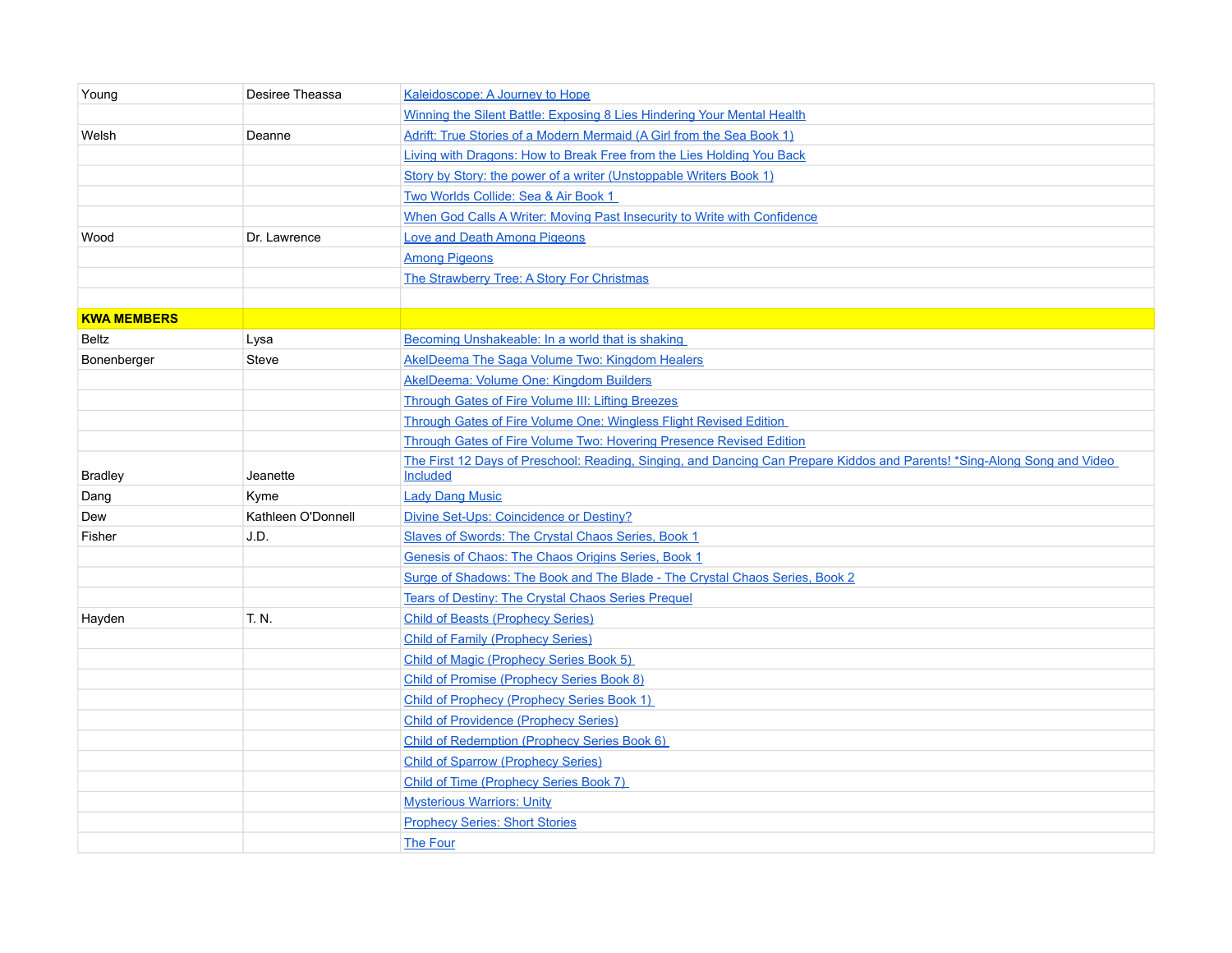| Young              | Desiree Theassa    | Kaleidoscope: A Journey to Hope                                                                                                      |
|--------------------|--------------------|--------------------------------------------------------------------------------------------------------------------------------------|
|                    |                    | Winning the Silent Battle: Exposing 8 Lies Hindering Your Mental Health                                                              |
| Welsh              | Deanne             | Adrift: True Stories of a Modern Mermaid (A Girl from the Sea Book 1)                                                                |
|                    |                    | Living with Dragons: How to Break Free from the Lies Holding You Back                                                                |
|                    |                    | Story by Story: the power of a writer (Unstoppable Writers Book 1)                                                                   |
|                    |                    | Two Worlds Collide: Sea & Air Book 1                                                                                                 |
|                    |                    | When God Calls A Writer: Moving Past Insecurity to Write with Confidence                                                             |
| Wood               | Dr. Lawrence       | <b>Love and Death Among Pigeons</b>                                                                                                  |
|                    |                    | <b>Among Pigeons</b>                                                                                                                 |
|                    |                    | The Strawberry Tree: A Story For Christmas                                                                                           |
|                    |                    |                                                                                                                                      |
| <b>KWA MEMBERS</b> |                    |                                                                                                                                      |
| Beltz              | Lysa               | Becoming Unshakeable: In a world that is shaking                                                                                     |
| Bonenberger        | Steve              | AkelDeema The Saga Volume Two: Kingdom Healers                                                                                       |
|                    |                    | AkelDeema: Volume One: Kingdom Builders                                                                                              |
|                    |                    | Through Gates of Fire Volume III: Lifting Breezes                                                                                    |
|                    |                    | Through Gates of Fire Volume One: Wingless Flight Revised Edition                                                                    |
|                    |                    | Through Gates of Fire Volume Two: Hovering Presence Revised Edition                                                                  |
| <b>Bradley</b>     | Jeanette           | The First 12 Days of Preschool: Reading, Singing, and Dancing Can Prepare Kiddos and Parents! *Sing-Along Song and Video<br>Included |
| Dang               | Kyme               | <b>Lady Dang Music</b>                                                                                                               |
| Dew                | Kathleen O'Donnell | Divine Set-Ups: Coincidence or Destiny?                                                                                              |
| Fisher             | J.D.               | Slaves of Swords: The Crystal Chaos Series, Book 1                                                                                   |
|                    |                    | Genesis of Chaos: The Chaos Origins Series, Book 1                                                                                   |
|                    |                    | Surge of Shadows: The Book and The Blade - The Crystal Chaos Series, Book 2                                                          |
|                    |                    | Tears of Destiny: The Crystal Chaos Series Prequel                                                                                   |
| Hayden             | T. N.              | <b>Child of Beasts (Prophecy Series)</b>                                                                                             |
|                    |                    | <b>Child of Family (Prophecy Series)</b>                                                                                             |
|                    |                    | <b>Child of Magic (Prophecy Series Book 5)</b>                                                                                       |
|                    |                    | <b>Child of Promise (Prophecy Series Book 8)</b>                                                                                     |
|                    |                    | <b>Child of Prophecy (Prophecy Series Book 1)</b>                                                                                    |
|                    |                    | <b>Child of Providence (Prophecy Series)</b>                                                                                         |
|                    |                    | Child of Redemption (Prophecy Series Book 6)                                                                                         |
|                    |                    | <b>Child of Sparrow (Prophecy Series)</b>                                                                                            |
|                    |                    | Child of Time (Prophecy Series Book 7)                                                                                               |
|                    |                    | <b>Mysterious Warriors: Unity</b>                                                                                                    |
|                    |                    | <b>Prophecy Series: Short Stories</b>                                                                                                |
|                    |                    | <b>The Four</b>                                                                                                                      |